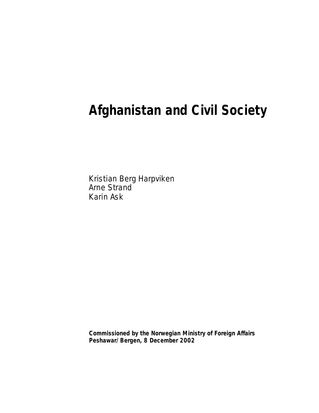# **Afghanistan and Civil Society**

Kristian Berg Harpviken Arne Strand Karin Ask

**Commissioned by the Norwegian Ministry of Foreign Affairs Peshawar/Bergen, 8 December 2002**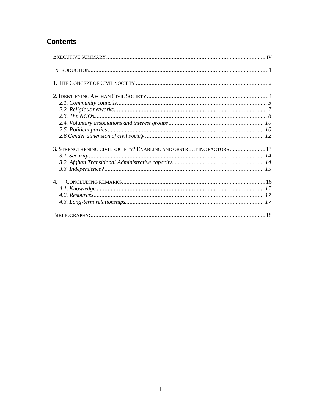# Contents

| 3. STRENGTHENING CIVIL SOCIETY? ENABLING AND OBSTRUCT ING FACTORS  13 |  |
|-----------------------------------------------------------------------|--|
|                                                                       |  |
|                                                                       |  |
|                                                                       |  |
| $\overline{4}$                                                        |  |
|                                                                       |  |
|                                                                       |  |
|                                                                       |  |
|                                                                       |  |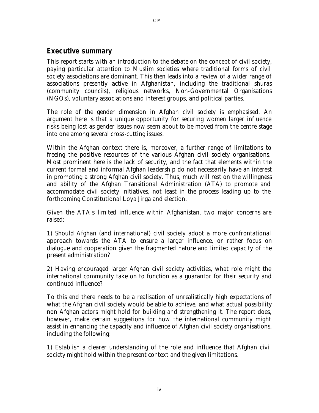# **Executive summary**

This report starts with an introduction to the debate on the concept of civil society, paying particular attention to Muslim societies where traditional forms of civil society associations are dominant. This then leads into a review of a wider range of associations presently active in Afghanistan, including the traditional *shuras*  (community councils), religious networks, Non-Governmental Organisations (NGOs), voluntary associations and interest groups, and political parties.

The role of the gender dimension in Afghan civil society is emphasised. An argument here is that a unique opportunity for securing women larger influence risks being lost as gender issues now seem about to be moved from the centre stage into one among several cross-cutting issues.

Within the Afghan context there is, moreover, a further range of limitations to freeing the positive resources of the various Afghan civil society organisations. Most prominent here is the lack of security, and the fact that elements within the current formal and informal Afghan leadership do not necessarily have an interest in promoting a strong Afghan civil society. Thus, much will rest on the willingness and ability of the Afghan Transitional Administration (ATA) to promote and accommodate civil society initiatives, not least in the process leading up to the forthcoming Constitutional Loya Jirga and election.

Given the ATA's limited influence within Afghanistan, two major concerns are raised:

1) Should Afghan (and international) civil society adopt a more confrontational approach towards the ATA to ensure a larger influence, or rather focus on dialogue and cooperation given the fragmented nature and limited capacity of the present administration?

2) Having encouraged larger Afghan civil society activities, what role might the international community take on to function as a guarantor for their security and continued influence?

To this end there needs to be a realisation of unrealistically high expectations of what the Afghan civil society would be able to achieve, and what actual possibility non Afghan actors might hold for building and strengthening it. The report does, however, make certain suggestions for how the international community might assist in enhancing the capacity and influence of Afghan civil society organisations, including the following:

1) Establish a clearer understanding of the role and influence that Afghan civil society might hold within the present context and the given limitations.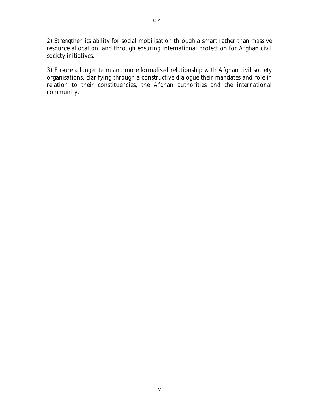2) Strengthen its ability for social mobilisation through a smart rather than massive resource allocation, and through ensuring international protection for Afghan civil society initiatives.

3) Ensure a longer term and more formalised relationship with Afghan civil society organisations, clarifying through a constructive dialogue their mandates and role in relation to their constituencies, the Afghan authorities and the international community.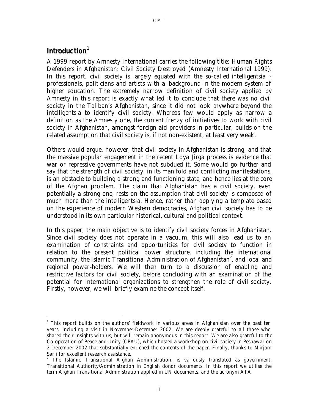## **Introduction<sup>1</sup>**

 $\overline{a}$ 

A 1999 report by Amnesty International carries the following title: *Human Rights Defenders in Afghanistan: Civil Society Destroyed* (Amnesty International 1999). In this report, civil society is largely equated with the so-called intelligentsia professionals, politicians and artists with a background in the modern system of higher education. The extremely narrow definition of civil society applied by Amnesty in this report is exactly what led it to conclude that there was no civil society in the Taliban's Afghanistan, since it did not look anywhere beyond the intelligentsia to identify civil society. Whereas few would apply as narrow a definition as the Amnesty one, the current frenzy of initiatives to work with civil society in Afghanistan, amongst foreign aid providers in particular, builds on the related assumption that civil society is, if not non-existent, at least very weak.

Others would argue, however, that civil society in Afghanistan is strong, and that the massive popular engagement in the recent Loya Jirga process is evidence that war or repressive governments have not subdued it. Some would go further and say that the strength of civil society, in its manifold and conflicting manifestations, is an obstacle to building a strong and functioning state, and hence lies at the core of the Afghan problem. The claim that Afghanistan has a civil society, even potentially a strong one, rests on the assumption that civil society is composed of much more than the intelligentsia. Hence, rather than applying a template based on the experience of modern Western democracies, Afghan civil society has to be understood in its own particular historical, cultural and political context.

In this paper, the main objective is to identify civil society forces in Afghanistan. Since civil society does not operate in a vacuum, this will also lead us to an examination of constraints and opportunities for civil society to function in relation to the present political power structure, including the international community, the Islamic Transitional Administration of Afghanistan<sup>2</sup>, and local and regional power-holders. We will then turn to a discussion of enabling and restrictive factors for civil society, before concluding with an examination of the potential for international organizations to strengthen the role of civil society. Firstly, however, we will briefly examine the concept itself.

<sup>&</sup>lt;sup>1</sup> This report builds on the authors' fieldwork in various areas in Afghanistan over the past ten years, including a visit in November-December 2002. We are deeply grateful to all those who shared their insights with us, but will remain anonymous in this report. We are also grateful to the Co-operation of Peace and Unity (CPAU), which hosted a workshop on civil society in Peshawar on 2 December 2002 that substantially enriched the contents of the paper. Finally, thanks to Mirjam Sørli for excellent research assistance.

<sup>2</sup> The Islamic Transitional Afghan Administration, is variously translated as government, Transitional Authority/Administration in English donor documents. In this report we utilise the term Afghan Transitional Administration applied in UN documents, and the acronym ATA.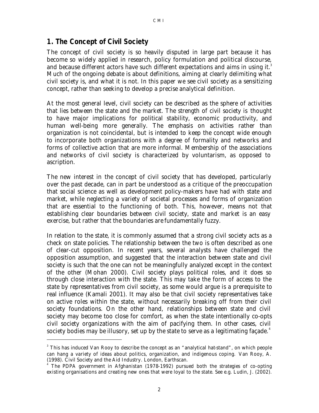#### **1. The Concept of Civil Society**

 $\overline{a}$ 

The concept of civil society is so heavily disputed in large part because it has become so widely applied in research, policy formulation and political discourse, and because different actors have such different expectations and aims in using it.<sup>3</sup> Much of the ongoing debate is about definitions, aiming at clearly delimiting what civil society is, and what it is not. In this paper we see civil society as a sensitizing concept, rather than seeking to develop a precise analytical definition.

At the most general level, civil society can be described as the sphere of activities that lies between the state and the market. The strength of civil society is thought to have major implications for political stability, economic productivity, and human well-being more generally. The emphasis on activities rather than organization is not coincidental, but is intended to keep the concept wide enough to incorporate both organizations with a degree of formality and networks and forms of collective action that are more informal. Membership of the associations and networks of civil society is characterized by voluntarism, as opposed to ascription.

The new interest in the concept of civil society that has developed, particularly over the past decade, can in part be understood as a critique of the preoccupation that social science as well as development policy-makers have had with state and market, while neglecting a variety of societal processes and forms of organization that are essential to the functioning of both. This, however, means not that establishing clear boundaries between civil society, state and market is an easy exercise, but rather that the boundaries are fundamentally fuzzy.

In relation to the state, it is commonly assumed that a strong civil society acts as a check on state policies. The relationship between the two is often described as one of clear-cut opposition. In recent years, several analysts have challenged the opposition assumption, and suggested that the interaction between state and civil society is such that the one can not be meaningfully analyzed except in the context of the other (Mohan 2000). Civil society plays political roles, and it does so through close interaction with the state. This may take the form of access to the state by representatives from civil society, as some would argue is a prerequisite to real influence (Kamali 2001). It may also be that civil society representatives take on active roles within the state, without necessarily breaking off from their civil society foundations. On the other hand, relationships between state and civil society may become too close for comfort, as when the state intentionally co-opts civil society organizations with the aim of pacifying them. In other cases, civil society bodies may be illusory, set up by the state to serve as a legitimating façade.<sup>4</sup>

 $3$  This has induced Van Rooy to describe the concept as an "analytical hat-stand", on which people can hang a variety of ideas about politics, organization, and indigenous coping. Van Rooy, A. (1998). *Civil Society and the Aid Industry*. London, Earthscan. 4 The PDPA government in Afghanistan (1978-1992) pursued both the strategies of co-opting

existing organisations and creating new ones that were loyal to the state. See e.g. Ludin, J. (2002).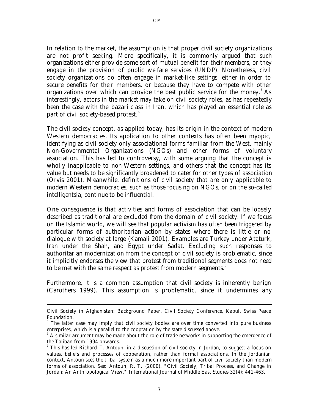In relation to the market, the assumption is that proper civil society organizations are not profit seeking. More specifically, it is commonly argued that such organizations either provide some sort of mutual benefit for their members, or they engage in the provision of public welfare services (UNDP). Nonetheless, civil society organizations do often engage in market-like settings, either in order to secure benefits for their members, or because they have to compete with other organizations over which can provide the best public service for the money.<sup>5</sup> As interestingly, actors in the market may take on civil society roles, as has repeatedly been the case with the *bazari* class in Iran, which has played an essential role as part of civil society-based protest.<sup>6</sup>

The civil society concept, as applied today, has its origin in the context of modern Western democracies. Its application to other contexts has often been myopic, identifying as civil society only associational forms familiar from the West, mainly Non-Governmental Organizations (NGOs) and other forms of voluntary association. This has led to controversy, with some arguing that the concept is wholly inapplicable to non-Western settings, and others that the concept has its value but needs to be significantly broadened to cater for other types of association (Orvis 2001). Meanwhile, definitions of civil society that are only applicable to modern Western democracies, such as those focusing on NGOs, or on the so-called intelligentsia, continue to be influential.

One consequence is that activities and forms of association that can be loosely described as traditional are excluded from the domain of civil society. If we focus on the Islamic world, we will see that popular activism has often been triggered by particular forms of authoritarian action by states where there is little or no dialogue with society at large (Kamali 2001). Examples are Turkey under Ataturk, Iran under the Shah, and Egypt under Sadat. Excluding such responses to authoritarian modernization from the concept of civil society is problematic, since it implicitly endorses the view that protest from traditional segments does not need to be met with the same respect as protest from modern segments.<sup>7</sup>

Furthermore, it is a common assumption that civil society is inherently benign (Carothers 1999). This assumption is problematic, since it undermines any

 $\overline{a}$ 

*Civil Society in Afghanistan: Background Paper*. Civil Society Conference, Kabul, Swiss Peace Foundation.

<sup>5</sup> The latter case may imply that civil society bodies are over time converted into pure business enterprises, which is a parallel to the cooptation by the state discussed above.

<sup>&</sup>lt;sup>6</sup> A similar argument may be made about the role of trade networks in supporting the emergence of the Taliban from 1994 onwards.

 $7$  This has led Richard T. Antoun, in a discussion of civil society in Jordan, to suggest a focus on values, beliefs and processes of cooperation, rather than formal associations. In the Jordanian context, Antoun sees the tribal system as a much more important part of civil society than modern forms of association. See: Antoun, R. T. (2000). "Civil Society, Tribal Process, and Change in Jordan: An Anthropological View." *International Journal of Middle East Studies* 32(4): 441-463.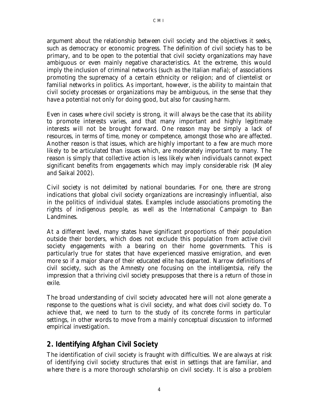argument about the relationship between civil society and the objectives it seeks, such as democracy or economic progress. The definition of civil society has to be primary, and to be open to the potential that civil society organizations may have ambiguous or even mainly negative characteristics. At the extreme, this would imply the inclusion of criminal networks (such as the Italian mafia); of associations promoting the supremacy of a certain ethnicity or religion; and of clientelist or familial networks in politics. As important, however, is the ability to maintain that civil society processes or organizations may be ambiguous, in the sense that they have a potential not only for doing good, but also for causing harm.

Even in cases where civil society is strong, it will always be the case that its ability to promote interests varies, and that many important and highly legitimate interests will not be brought forward. One reason may be simply a lack of resources, in terms of time, money or competence, amongst those who are affected. Another reason is that issues, which are highly important to a few are much more likely to be articulated than issues which, are moderately important to many. The reason is simply that collective action is less likely when individuals cannot expect significant benefits from engagements which may imply considerable risk (Maley and Saikal 2002).

Civil society is not delimited by national boundaries. For one, there are strong indications that global civil society organizations are increasingly influential, also in the politics of individual states. Examples include associations promoting the rights of indigenous people, as well as the International Campaign to Ban Landmines.

At a different level, many states have significant proportions of their population outside their borders, which does not exclude this population from active civil society engagements with a bearing on their home governments. This is particularly true for states that have experienced massive emigration, and even more so if a major share of their educated elite has departed. Narrow definitions of civil society, such as the Amnesty one focusing on the intelligentsia, reify the impression that a thriving civil society presupposes that there is a return of those in exile.

The broad understanding of civil society advocated here will not alone generate a response to the questions what is civil society, and what does civil society do. To achieve that, we need to turn to the study of its concrete forms in particular settings, in other words to move from a mainly conceptual discussion to informed empirical investigation.

# **2. Identifying Afghan Civil Society**

The identification of civil society is fraught with difficulties. We are always at risk of identifying civil society structures that exist in settings that are familiar, and where there is a more thorough scholarship on civil society. It is also a problem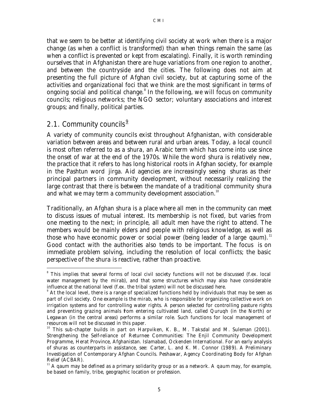that we seem to be better at identifying civil society at work when there is a major change (as when a conflict is transformed) than when things remain the same (as when a conflict is prevented or kept from escalating). Finally, it is worth reminding ourselves that in Afghanistan there are huge variations from one region to another, and between the countryside and the cities. The following does not aim at presenting the full picture of Afghan civil society, but at capturing some of the activities and organizational foci that we think are the most significant in terms of ongoing social and political change. $\delta$  In the following, we will focus on community councils; religious networks; the NGO sector; voluntary associations and interest groups; and finally, political parties.

# *2.1. Community councils<sup>9</sup>*

 $\overline{a}$ 

A variety of community councils exist throughout Afghanistan, with considerable variation between areas and between rural and urban areas. Today, a local council is most often referred to as a *shura*, an Arabic term which has come into use since the onset of war at the end of the 1970s. While the word *shura* is relatively new, the practice that it refers to has long historical roots in Afghan society, for example in the Pashtun word *jirga*. Aid agencies are increasingly seeing *shuras* as their principal partners in community development, without necessarily realizing the large contrast that there is between the mandate of a traditional community *shura* and what we may term a community development association.<sup>10</sup>

Traditionally, an Afghan *shura* is a place where all men in the community can meet to discuss issues of mutual interest. Its membership is not fixed, but varies from one meeting to the next; in principle, all adult men have the right to attend. The members would be mainly elders and people with religious knowledge, as well as those who have economic power or social power (being leader of a large *qaum)*. 11 Good contact with the authorities also tends to be important. The focus is on immediate problem solving, including the resolution of local conflicts; the basic perspective of the *shura* is reactive, rather than proactive.

<sup>&</sup>lt;sup>8</sup> This implies that several forms of local civil society functions will not be discussed (f.ex. local water management by the *mirab*), and that some structures which may also have considerable influence at the national level (f.ex. the tribal system) will not be discussed here.

<sup>&</sup>lt;sup>9</sup> At the local level, there is a range of specialized functions held by individuals that may be seen as part of civil society. One example is the *mirab*, who is responsible for organizing collective work on irrigation systems and for controlling water rights. A person selected for controlling pasture rights and preventing grazing animals from entering cultivated land, called Quruqh (in the North) or Legawan (in the central areas) performs a similar role. Such functions for local management of resources will not be discussed in this paper.

 $10$  This sub-chapter builds in part on Harpviken, K. B., M. Taksdal and M. Suleman (2001). Strengthening the Self-reliance of Returnee Communities: The Enjil Community Development Programme, Herat Province, Afghanistan. Islamabad, Ockenden International. For an early analysis of shuras as counterparts in assistance, see: Carter, L. and K. M. Connor (1989). A Preliminary Investigation of Contemporary Afghan Councils. Peshawar, Agency Coordinating Body for Afghan Relief (ACBAR).

<sup>&</sup>lt;sup>11</sup> A *qaum* may be defined as a primary solidarity group or as a network. A *qaum* may, for example, be based on family, tribe, geographic location or profession.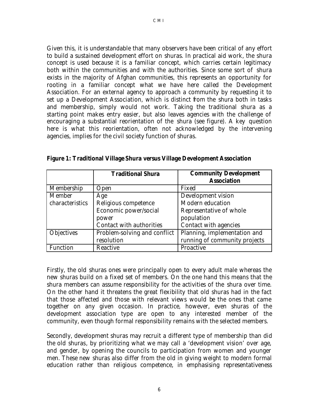Given this, it is understandable that many observers have been critical of any effort to build a sustained development effort on *shuras*. In practical aid work, the *shura*  concept is used because it is a familiar concept, which carries certain legitimacy both within the communities and with the authorities. Since some sort of *shura*  exists in the majority of Afghan communities, this represents an opportunity for rooting in a familiar concept what we have here called the Development Association. For an external agency to approach a community by requesting it to set up a Development Association, which is distinct from the *shura* both in tasks and membership, simply would not work. Taking the traditional shura as a starting point makes entry easier, but also leaves agencies with the challenge of encouraging a substantial reorientation of the *shura* (see figure). A key question here is what this reorientation, often not acknowledged by the intervening agencies, implies for the civil society function of *shuras*.

|                   | <b>Traditional Shura</b>     | <b>Community Development</b>  |
|-------------------|------------------------------|-------------------------------|
|                   |                              | <b>Association</b>            |
| Membership        | <b>Open</b>                  | Fixed                         |
| Member            | Age                          | Development vision            |
| characteristics   | Religious competence         | <b>Modern education</b>       |
|                   | Economic power/social        | Representative of whole       |
|                   | power                        | population                    |
|                   | Contact with authorities     | Contact with agencies         |
| <b>Objectives</b> | Problem-solving and conflict | Planning, implementation and  |
|                   | resolution                   | running of community projects |
| <b>Function</b>   | Reactive                     | Proactive                     |

**Figure 1: Traditional Village** *Shura* **versus Village Development Association**

Firstly, the old *shuras* ones were principally open to every adult male whereas the new shuras build on a fixed set of members. On the one hand this means that the *shura* members can assume responsibility for the activities of the *shura* over time. On the other hand it threatens the great flexibility that old shuras had in the fact that those affected and those with relevant views would be the ones that came together on any given occasion. In practice, however, even *shuras* of the development association type are open to any interested member of the community, even though formal responsibility remains with the selected members.

Secondly, development *shuras* may recruit a different type of membership than did the old *shuras*, by prioritizing what we may call a 'development vision' over age, and gender, by opening the councils to participation from women and younger men. These new *shuras* also differ from the old in giving weight to modern formal education rather than religious competence, in emphasising representativeness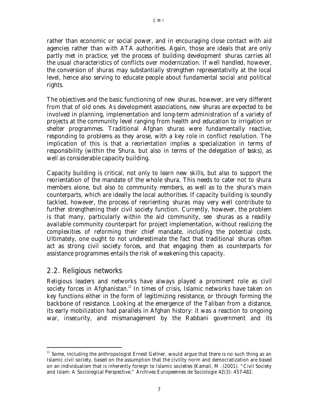rather than economic or social power, and in encouraging close contact with aid agencies rather than with ATA authorities. Again, those are ideals that are only partly met in practice, yet the process of building development *shuras* carries all the usual characteristics of conflicts over modernization. If well handled, however, the conversion of *shuras* may substantially strengthen representativity at the local level, hence also serving to educate people about fundamental social and political rights.

The objectives and the basic functioning of new *shuras*, however, are very different from that of old ones. As development associations, new *shuras* are expected to be involved in planning, implementation and long-term administration of a variety of projects at the community level ranging from health and education to irrigation or shelter programmes. Traditional Afghan *shuras* were fundamentally reactive, responding to problems as they arose, with a key role in conflict resolution. The implication of this is that a reorientation implies a specialization in terms of responsibility (within the *Shura*, but also in terms of the delegation of tasks), as well as considerable capacity building.

Capacity building is critical, not only to learn new skills, but also to support the reorientation of the mandate of the whole shura. This needs to cater not to shura members alone, but also to community members, as well as to the *shura's* main counterparts, which are ideally the local authorities. If capacity building is soundly tackled, however, the process of reorienting *shuras* may very well contribute to further strengthening their civil society function. Currently, however, the problem is that many, particularly within the aid community, see *shuras* as a readily available community counterpart for project implementation, without realizing the complexities of reforming their chief mandate, including the potential costs. Ultimately, one ought to not underestimate the fact that traditional *shuras* often act as strong civil society forces, and that engaging them as counterparts for assistance programmes entails the risk of weakening this capacity.

# *2.2. Religious networks*

 $\overline{a}$ 

Religious leaders and networks have always played a prominent role as civil society forces in Afghanistan.<sup>12</sup> In times of crisis, Islamic networks have taken on key functions either in the form of legitimizing resistance, or through forming the backbone of resistance. Looking at the emergence of the Taliban from a distance, its early mobilization had parallels in Afghan history: it was a reaction to ongoing war, insecurity, and mismanagement by the Rabbani government and its

<sup>&</sup>lt;sup>12</sup> Some, including the anthropologist Ernest Gellner, would argue that there is no such thing as an Islamic civil society, based on the assumption that the civility norm and democratization are based on an individualism that is inherently foreign to Islamic societies (Kamali, M. (2001). "Civil Society and Islam: A Sociological Perspective." *Archives Europeennes de Sociologie* 42(3): 457-482.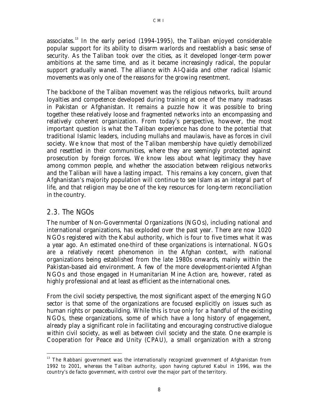associates.<sup>13</sup> In the early period  $(1994-1995)$ , the Taliban enjoyed considerable popular support for its ability to disarm warlords and reestablish a basic sense of security. As the Taliban took over the cities, as it developed longer-term power ambitions at the same time, and as it became increasingly radical, the popular support gradually waned. The alliance with Al-Qaida and other radical Islamic movements was only one of the reasons for the growing resentment.

CMI

The backbone of the Taliban movement was the religious networks, built around loyalties and competence developed during training at one of the many *madrasas* in Pakistan or Afghanistan. It remains a puzzle how it was possible to bring together these relatively loose and fragmented networks into an encompassing and relatively coherent organization. From today's perspective, however, the most important question is what the Taliban experience has done to the potential that traditional Islamic leaders, including *mullahs* and *maulawis,* have as forces in civil society. We know that most of the Taliban membership have quietly demobilized and resettled in their communities, where they are seemingly protected against prosecution by foreign forces. We know less about what legitimacy they have among common people, and whether the association between religious networks and the Taliban will have a lasting impact. This remains a key concern, given that Afghanistan's majority population will continue to see Islam as an integral part of life, and that religion may be one of the key resources for long-term reconciliation in the country.

# *2.3. The NGOs*

The number of Non-Governmental Organizations (NGOs), including national and international organizations, has exploded over the past year. There are now 1020 NGOs registered with the Kabul authority, which is four to five times what it was a year ago. An estimated one-third of these organizations is international. NGOs are a relatively recent phenomenon in the Afghan context, with national organizations being established from the late 1980s onwards, mainly within the Pakistan-based aid environment. A few of the more development-oriented Afghan NGOs and those engaged in Humanitarian Mine Action are, however, rated as highly professional and at least as efficient as the international ones.

From the civil society perspective, the most significant aspect of the emerging NGO sector is that some of the organizations are focused explicitly on issues such as human rights or peacebuilding. While this is true only for a handful of the existing NGOs, these organizations, some of which have a long history of engagement, already play a significant role in facilitating and encouraging constructive dialogue within civil society, as well as between civil society and the state. One example is Cooperation for Peace and Unity (CPAU), a small organization with a strong

 $\overline{a}$  $13$  The Rabbani government was the internationally recognized government of Afghanistan from 1992 to 2001, whereas the Taliban authority, upon having captured Kabul in 1996, was the country's de facto government, with control over the major part of the territory.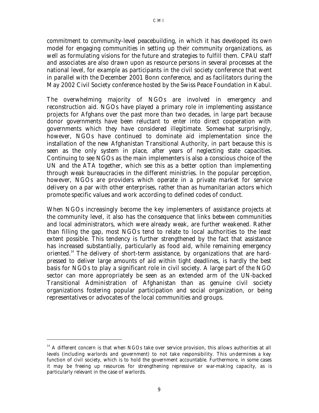CMI

commitment to community-level peacebuilding, in which it has developed its own model for engaging communities in setting up their community organizations, as well as formulating visions for the future and strategies to fulfill them. CPAU staff and associates are also drawn upon as resource persons in several processes at the national level, for example as participants in the civil society conference that went in parallel with the December 2001 Bonn conference, and as facilitators during the May 2002 Civil Society conference hosted by the Swiss Peace Foundation in Kabul.

The overwhelming majority of NGOs are involved in emergency and reconstruction aid. NGOs have played a primary role in implementing assistance projects for Afghans over the past more than two decades, in large part because donor governments have been reluctant to enter into direct cooperation with governments which they have considered illegitimate. Somewhat surprisingly, however, NGOs have continued to dominate aid implementation since the installation of the new Afghanistan Transitional Authority, in part because this is seen as the only system in place, after years of neglecting state capacities. Continuing to see NGOs as the main implementers is also a conscious choice of the UN and the ATA together, which see this as a better option than implementing through weak bureaucracies in the different ministries. In the popular perception, however, NGOs are providers which operate in a private market for service delivery on a par with other enterprises, rather than as humanitarian actors which promote specific values and work according to defined codes of conduct.

When NGOs increasingly become the key implementers of assistance projects at the community level, it also has the consequence that links between communities and local administrators, which were already weak, are further weakened. Rather than filling the gap, most NGOs tend to relate to local authorities to the least extent possible. This tendency is further strengthened by the fact that assistance has increased substantially, particularly as food aid, while remaining emergency oriented.14 The delivery of short-term assistance, by organizations that are hardpressed to deliver large amounts of aid within tight deadlines, is hardly the best basis for NGOs to play a significant role in civil society. A large part of the NGO sector can more appropriately be seen as an extended arm of the UN-backed Transitional Administration of Afghanistan than as genuine civil society organizations fostering popular participation and social organization, or being representatives or advocates of the local communities and groups.

 $\overline{a}$ 

 $14$  A different concern is that when NGOs take over service provision, this allows authorities at all levels (including warlords and government) to not take responsibility. This undermines a key function of civil society, which is to hold the government accountable. Furthermore, in some cases it may be freeing up resources for strengthening repressive or war-making capacity, as is particularly relevant in the case of warlords.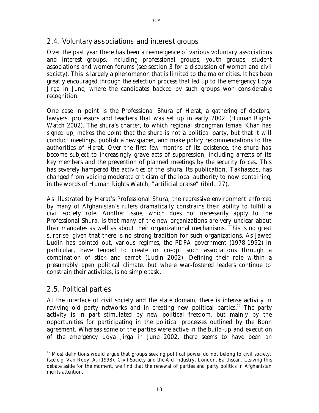## *2.4. Voluntary associations and interest groups*

Over the past year there has been a reemergence of various voluntary associations and interest groups, including professional groups, youth groups, student associations and women forums (see section 3 for a discussion of women and civil society). This is largely a phenomenon that is limited to the major cities. It has been greatly encouraged through the selection process that led up to the emergency Loya Jirga in June, where the candidates backed by such groups won considerable recognition.

One case in point is the Professional Shura of Herat, a gathering of doctors, lawyers, professors and teachers that was set up in early 2002 (Human Rights Watch 2002). The *shura's* charter, to which regional strongman Ismael Khan has signed up, makes the point that the shura is not a political party, but that it will conduct meetings, publish a newspaper, and make policy recommendations to the authorities of Herat. Over the first few months of its existence, the shura has become subject to increasingly grave acts of suppression, including arrests of its key members and the prevention of planned meetings by the security forces. This has severely hampered the activities of the *shura*. Its publication, *Takhassos*, has changed from voicing moderate criticism of the local authority to now containing, in the words of Human Rights Watch, "artificial praise" (ibid., 27).

As illustrated by Herat's Professional Shura, the repressive environment enforced by many of Afghanistan's rulers dramatically constrains their ability to fulfill a civil society role. Another issue, which does not necessarily apply to the Professional Shura, is that many of the new organizations are very unclear about their mandates as well as about their organizational mechanisms. This is no great surprise, given that there is no strong tradition for such organizations. As Jawed Ludin has pointed out, various regimes, the PDPA government (1978-1992) in particular, have tended to create or co-opt such associations through a combination of stick and carrot (Ludin 2002). Defining their role within a presumably open political climate, but where war-fostered leaders continue to constrain their activities, is no simple task.

#### *2.5. Political parties*

 $\overline{a}$ 

At the interface of civil society and the state domain, there is intense activity in reviving old party networks and in creating new political parties.<sup>15</sup> The party activity is in part stimulated by new political freedom, but mainly by the opportunities for participating in the political processes outlined by the Bonn agreement. Whereas some of the parties were active in the build-up and execution of the emergency Loya Jirga in June 2002, there seems to have been an

<sup>&</sup>lt;sup>15</sup> Most definitions would argue that groups seeking political power do not belong to civil society. (see e.g. Van Rooy, A. (1998). *Civil Society and the Aid Industry*. London, Earthscan. Leaving this debate aside for the moment, we find that the renewal of parties and party politics in Afghanistan merits attention.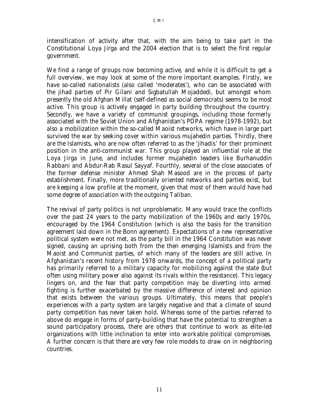CMI

intensification of activity after that, with the aim being to take part in the Constitutional Loya Jirga and the 2004 election that is to select the first regular government.

We find a range of groups now becoming active, and while it is difficult to get a full overview, we may look at some of the more important examples. Firstly, we have so-called nationalists (also called 'moderates'), who can be associated with the jihad parties of Pir Gilani and Sigbatullah Mojaddedi, but amongst whom presently the old Afghan Millat (self-defined as social democrats) seems to be most active. This group is actively engaged in party building throughout the country. Secondly, we have a variety of communist groupings, including those formerly associated with the Soviet Union and Afghanistan's PDPA regime (1978-1992), but also a mobilization within the so-called Maoist networks, which have in large part survived the war by seeking cover within various mujahedin parties. Thirdly, there are the Islamists, who are now often referred to as the 'jihadis' for their prominent position in the anti-communist war. This group played an influential role at the Loya Jirga in June, and includes former mujahedin leaders like Burhanuddin Rabbani and Abdur-Rab Rasul Sayyaf. Fourthly, several of the close associates of the former defense minister Ahmed Shah Masood are in the process of party establishment. Finally, more traditionally oriented networks and parties exist, but are keeping a low profile at the moment, given that most of them would have had some degree of association with the outgoing Taliban.

The revival of party politics is not unproblematic. Many would trace the conflicts over the past 24 years to the party mobilization of the 1960s and early 1970s, encouraged by the 1964 Constitution (which is also the basis for the transition agreement laid down in the Bonn agreement). Expectations of a new representative political system were not met, as the party bill in the 1964 Constitution was never signed, causing an uprising both from the then emerging Islamists and from the Maoist and Communist parties, of which many of the leaders are still active. In Afghanistan's recent history from 1978 onwards, the concept of a political party has primarily referred to a military capacity for mobilizing against the state (but often using military power also against its rivals within the resistance). This legacy lingers on, and the fear that party competition may be diverting into armed fighting is further exacerbated by the massive difference of interest and opinion that exists between the various groups. Ultimately, this means that people's experiences with a party system are largely negative and that a climate of sound party competition has never taken hold. Whereas some of the parties referred to above do engage in forms of party-building that have the potential to strengthen a sound participatory process, there are others that continue to work as elite-led organizations with little inclination to enter into workable political compromises. A further concern is that there are very few role models to draw on in neighboring countries.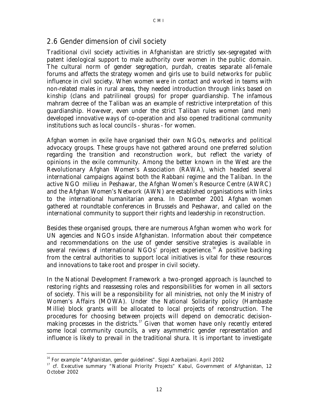#### *2.6 Gender dimension of civil society*

Traditional civil society activities in Afghanistan are strictly sex-segregated with patent ideological support to male authority over women in the public domain. The cultural norm of gender segregation, *purdah*, creates separate all-female forums and affects the strategy women and girls use to build networks for public influence in civil society. When women were in contact and worked in teams with non-related males in rural areas, they needed introduction through links based on kinship (clans and patrilineal groups) for proper guardianship. The infamous *mahram* decree of the Taliban was an example of restrictive interpretation of this guardianship. However, even under the strict Taliban rules women (and men) developed innovative ways of co-operation and also opened traditional community institutions such as local councils - *shuras* - for women.

Afghan women in exile have organised their own NGOs, networks and political advocacy groups. These groups have not gathered around one preferred solution regarding the transition and reconstruction work, but reflect the variety of opinions in the exile community. Among the better known in the West are the Revolutionary Afghan Women's Association (RAWA), which headed several international campaigns against both the Rabbani regime and the Taliban. In the active NGO milieu in Peshawar, the Afghan Women's Resource Centre (AWRC) and the Afghan Women's Network (AWN) are established organisations with links to the international humanitarian arena. In December 2001 Afghan women gathered at roundtable conferences in Brussels and Peshawar, and called on the international community to support their rights and leadership in reconstruction.

Besides these organised groups, there are numerous Afghan women who work for UN agencies and NGOs inside Afghanistan. Information about their competence and recommendations on the use of gender sensitive strategies is available in several reviews of international NGOs<sup>7</sup> project experience.<sup>16</sup> A positive backing from the central authorities to support local initiatives is vital for these resources and innovations to take root and prosper in civil society.

In the National Development Framework a two-pronged approach is launched to restoring rights and reassessing roles and responsibilities for women in all sectors of society. This will be a responsibility for all ministries, not only the Ministry of Women's Affairs (MOWA). Under the National Solidarity policy (Hambaste Millie) block grants will be allocated to local projects of reconstruction. The procedures for choosing between projects will depend on democratic decisionmaking processes in the districts.<sup>17</sup> Given that women have only recently entered some local community councils, a very asymmetric gender representation and influence is likely to prevail in the traditional shura. It is important to investigate

 $\overline{a}$ 

<sup>&</sup>lt;sup>16</sup> For example "Afghanistan, gender guidelines". Sippi Azerbaijani. April 2002

<sup>&</sup>lt;sup>17</sup> cf. Executive summary "National Priority Projects" Kabul, Government of Afghanistan, 12 October 2002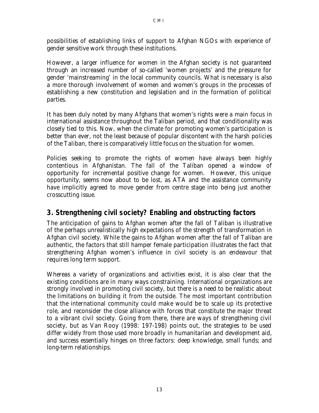possibilities of establishing links of support to Afghan NGOs with experience of gender sensitive work through these institutions.

However, a larger influence for women in the Afghan society is not guaranteed through an increased number of so-called 'women projects' and the pressure for gender 'mainstreaming' in the local community councils. What is necessary is also a more thorough involvement of women and women's groups in the processes of establishing a new constitution and legislation and in the formation of political parties.

It has been duly noted by many Afghans that women's rights were a main focus in international assistance throughout the Taliban period, and that conditionality was closely tied to this. Now, when the climate for promoting women's participation is better than ever, not the least because of popular discontent with the harsh policies of the Taliban, there is comparatively little focus on the situation for women.

Policies seeking to promote the rights of women have always been highly contentious in Afghanistan. The fall of the Taliban opened a window of opportunity for incremental positive change for women. However, this unique opportunity, seems now about to be lost, as ATA and the assistance community have implicitly agreed to move gender from centre stage into being just another crosscutting issue.

# **3. Strengthening civil society? Enabling and obstructing factors**

The anticipation of gains to Afghan women after the fall of Taliban is illustrative of the perhaps unrealistically high expectations of the strength of transformation in Afghan civil society. While the gains to Afghan women after the fall of Taliban are authentic, the factors that still hamper female participation illustrates the fact that strengthening Afghan women's influence in civil society is an endeavour that requires long term support.

Whereas a variety of organizations and activities exist, it is also clear that the existing conditions are in many ways constraining. International organizations are strongly involved in promoting civil society, but there is a need to be realistic about the limitations on building it from the outside. The most important contribution that the international community could make would be to scale up its protective role, and reconsider the close alliance with forces that constitute the major threat to a vibrant civil society. Going from there, there are ways of strengthening civil society, but as Van Rooy (1998: 197-198) points out, the strategies to be used differ widely from those used more broadly in humanitarian and development aid, and success essentially hinges on three factors: deep knowledge, small funds; and long-term relationships.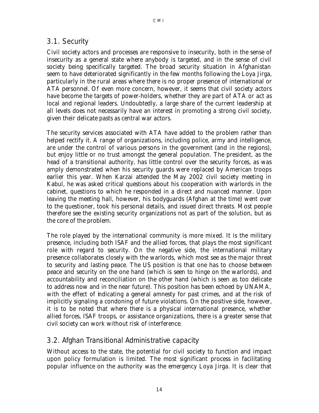#### *3.1. Security*

Civil society actors and processes are responsive to insecurity, both in the sense of insecurity as a general state where anybody is targeted, and in the sense of civil society being specifically targeted. The broad security situation in Afghanistan seem to have deteriorated significantly in the few months following the Loya Jirga, particularly in the rural areas where there is no proper presence of international or ATA personnel. Of even more concern, however, it seems that civil society actors have become the targets of power-holders, whether they are part of ATA or act as local and regional leaders. Undoubtedly, a large share of the current leadership at all levels does not necessarily have an interest in promoting a strong civil society, given their delicate pasts as central war actors.

The security services associated with ATA have added to the problem rather than helped rectify it. A range of organizations, including police, army and intelligence, are under the control of various persons in the government (and in the regions), but enjoy little or no trust amongst the general population. The president, as the head of a transitional authority, has little control over the security forces, as was amply demonstrated when his security guards were replaced by American troops earlier this year. When Karzai attended the May 2002 civil society meeting in Kabul, he was asked critical questions about his cooperation with warlords in the cabinet, questions to which he responded in a direct and nuanced manner. Upon leaving the meeting hall, however, his bodyguards (Afghan at the time) went over to the questioner, took his personal details, and issued direct threats. Most people therefore see the existing security organizations not as part of the solution, but as the core of the problem.

The role played by the international community is more mixed. It is the military presence, including both ISAF and the allied forces, that plays the most significant role with regard to security. On the negative side, the international military presence collaborates closely with the warlords, which most see as the major threat to security and lasting peace. The US position is that one has to choose between peace and security on the one hand (which is seen to hinge on the warlords), and accountability and reconciliation on the other hand (which is seen as too delicate to address now and in the near future). This position has been echoed by UNAMA, with the effect of indicating a general amnesty for past crimes, and at the risk of implicitly signaling a condoning of future violations. On the positive side, however, it is to be noted that where there is a physical international presence, whether allied forces, ISAF troops, or assistance organizations, there is a greater sense that civil society can work without risk of interference.

#### *3.2. Afghan Transitional Administrative capacity*

Without access to the state, the potential for civil society to function and impact upon policy formulation is limited. The most significant process in facilitating popular influence on the authority was the emergency Loya Jirga. It is clear that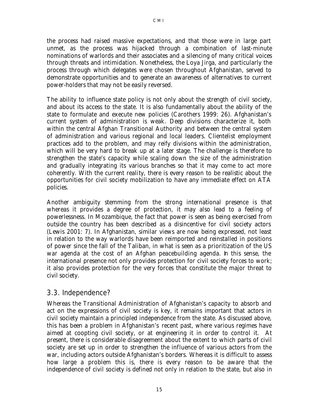the process had raised massive expectations, and that those were in large part unmet, as the process was hijacked through a combination of last-minute nominations of warlords and their associates and a silencing of many critical voices through threats and intimidation. Nonetheless, the Loya Jirga, and particularly the process through which delegates were chosen throughout Afghanistan, served to demonstrate opportunities and to generate an awareness of alternatives to current power-holders that may not be easily reversed.

The ability to influence state policy is not only about the strength of civil society, and about its access to the state. It is also fundamentally about the ability of the state to formulate and execute new policies (Carothers 1999: 26). Afghanistan's current system of administration is weak. Deep divisions characterize it, both within the central Afghan Transitional Authority and between the central system of administration and various regional and local leaders. Clientelist employment practices add to the problem, and may reify divisions within the administration, which will be very hard to break up at a later stage. The challenge is therefore to strengthen the state's capacity while scaling down the size of the administration and gradually integrating its various branches so that it may come to act more coherently. With the current reality, there is every reason to be realistic about the opportunities for civil society mobilization to have any immediate effect on ATA policies.

Another ambiguity stemming from the strong international presence is that whereas it provides a degree of protection, it may also lead to a feeling of powerlessness. In Mozambique, the fact that power is seen as being exercised from outside the country has been described as a disincentive for civil society actors (Lewis 2001: 7). In Afghanistan, similar views are now being expressed, not least in relation to the way warlords have been reimported and reinstalled in positions of power since the fall of the Taliban, in what is seen as a prioritization of the US war agenda at the cost of an Afghan peacebuilding agenda. In this sense, the international presence not only provides protection for civil society forces to work; it also provides protection for the very forces that constitute the major threat to civil society.

# *3.3. Independence?*

Whereas the Transitional Administration of Afghanistan's capacity to absorb and act on the expressions of civil society is key, it remains important that actors in civil society maintain a principled independence from the state. As discussed above, this has been a problem in Afghanistan's recent past, where various regimes have aimed at coopting civil society, or at engineering it in order to control it. At present, there is considerable disagreement about the extent to which parts of civil society are set up in order to strengthen the influence of various actors from the war, including actors outside Afghanistan's borders. Whereas it is difficult to assess how large a problem this is, there is every reason to be aware that the independence of civil society is defined not only in relation to the state, but also in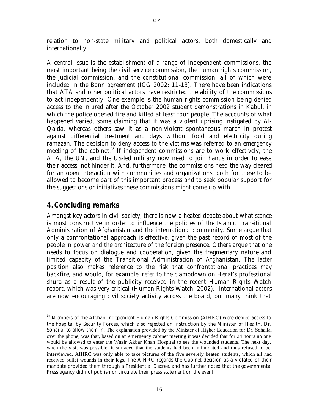relation to non-state military and political actors, both domestically and internationally.

A central issue is the establishment of a range of independent commissions, the most important being the civil service commission, the human rights commission, the judicial commission, and the constitutional commission, all of which were included in the Bonn agreement (ICG 2002: 11-13). There have been indications that ATA and other political actors have restricted the ability of the commissions to act independently. One example is the human rights commission being denied access to the injured after the October 2002 student demonstrations in Kabul, in which the police opened fire and killed at least four people. The accounts of what happened varied, some claiming that it was a violent uprising instigated by Al-Qaida, whereas others saw it as a non-violent spontaneous march in protest against differential treatment and days without food and electricity during *ramazan*. The decision to deny access to the victims was referred to an emergency meeting of the cabinet.<sup>18</sup> If independent commissions are to work effectively, the ATA, the UN, and the US-led military now need to join hands in order to ease their access, not hinder it. And, furthermore, the commissions need the way cleared for an open interaction with communities and organizations, both for these to be allowed to become part of this important process and to seek popular support for the suggestions or initiatives these commissions might come up with.

#### **4.Concluding remarks**

 $\overline{a}$ 

Amongst key actors in civil society, there is now a heated debate about what stance is most constructive in order to influence the policies of the Islamic Transitional Administration of Afghanistan and the international community. Some argue that only a confrontational approach is effective, given the past record of most of the people in power and the architecture of the foreign presence. Others argue that one needs to focus on dialogue and cooperation, given the fragmentary nature and limited capacity of the Transitional Administration of Afghanistan. The latter position also makes reference to the risk that confrontational practices may backfire, and would, for example, refer to the clampdown on Herat's professional shura as a result of the publicity received in the recent Human Rights Watch report, which was very critical (Human Rights Watch, 2002). International actors are now encouraging civil society activity across the board, but many think that

<sup>&</sup>lt;sup>18</sup> Members of the Afghan Independent Human Rights Commission (AIHRC) were denied access to the hospital by Security Forces, which also rejected an instruction by the Minister of Health, Dr. Sohaila, to allow them in. The explanation provided by the Minister of Higher Education for Dr. Sohaila, over the phone, was that, based on an emergency cabinet meeting it was decided that for 24 hours no one would be allowed to enter the Wazir Akbar Khan Hospital to see the wounded students. The next day, when the visit was possible, it surfaced that the students had been intimidated and thus refused to be interviewed. AIHRC was only able to take pictures of the five severely beaten students, which all had received bullet wounds in their legs. The AIHRC regards the Cabinet decision as a violated of their mandate provided them through a Presidential Decree, and has further noted that the governmental Press agency did not publish or circulate their press statement on the event.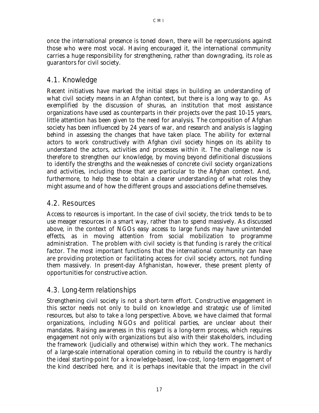once the international presence is toned down, there will be repercussions against those who were most vocal. Having encouraged it, the international community carries a huge responsibility for strengthening, rather than downgrading, its role as guarantors for civil society.

# *4.1. Knowledge*

Recent initiatives have marked the initial steps in building an understanding of what civil society means in an Afghan context, but there is a long way to go. As exemplified by the discussion of shuras, an institution that most assistance organizations have used as counterparts in their projects over the past 10-15 years, little attention has been given to the need for analysis. The composition of Afghan society has been influenced by 24 years of war, and research and analysis is lagging behind in assessing the changes that have taken place. The ability for external actors to work constructively with Afghan civil society hinges on its ability to understand the actors, activities and processes within it. The challenge now is therefore to strengthen our knowledge, by moving beyond definitional discussions to identify the strengths and the weaknesses of concrete civil society organizations and activities, including those that are particular to the Afghan context. And, furthermore, to help these to obtain a clearer understanding of what roles they might assume and of how the different groups and associations define themselves.

# *4.2. Resources*

Access to resources is important. In the case of civil society, the trick tends to be to use meager resources in a smart way, rather than to spend massively. As discussed above, in the context of NGOs easy access to large funds may have unintended effects, as in moving attention from social mobilization to programme administration. The problem with civil society is that funding is rarely the critical factor. The most important functions that the international community can have are providing protection or facilitating access for civil society actors, not funding them massively. In present-day Afghanistan, however, these present plenty of opportunities for constructive action.

# *4.3. Long-term relationships*

Strengthening civil society is not a short-term effort. Constructive engagement in this sector needs not only to build on knowledge and strategic use of limited resources, but also to take a long perspective. Above, we have claimed that formal organizations, including NGOs and political parties, are unclear about their mandates. Raising awareness in this regard is a long-term process, which requires engagement not only with organizations but also with their stakeholders, including the framework (judicially and otherwise) within which they work. The mechanics of a large-scale international operation coming in to rebuild the country is hardly the ideal starting-point for a knowledge-based, low-cost, long-term engagement of the kind described here, and it is perhaps inevitable that the impact in the civil